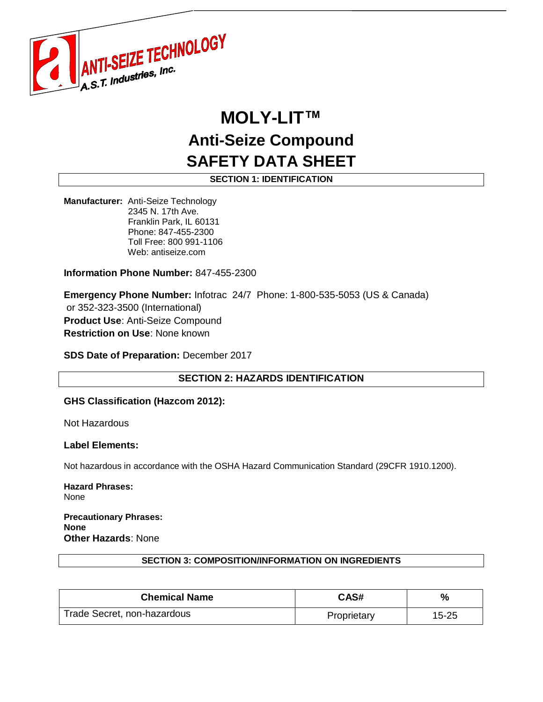

# **MOLY-LIT™ Anti-Seize Compound SAFETY DATA SHEET**

**SECTION 1: IDENTIFICATION**

**Manufacturer:** Anti-Seize Technology 2345 N. 17th Ave. Franklin Park, IL 60131 Phone: 847-455-2300 Toll Free: 800 991-1106 Web: antiseize.com

**Information Phone Number:** 847-455-2300

**Emergency Phone Number:** Infotrac 24/7 Phone: 1-800-535-5053 (US & Canada) or 352-323-3500 (International) **Product Use**: Anti-Seize Compound **Restriction on Use**: None known

**SDS Date of Preparation:** December 2017

**SECTION 2: HAZARDS IDENTIFICATION**

# **GHS Classification (Hazcom 2012):**

Not Hazardous

#### **Label Elements:**

Not hazardous in accordance with the OSHA Hazard Communication Standard (29CFR 1910.1200).

**Hazard Phrases:** None

**Precautionary Phrases: None Other Hazards**: None

#### **SECTION 3: COMPOSITION/INFORMATION ON INGREDIENTS**

| <b>Chemical Name</b>        | CAS#        | %         |
|-----------------------------|-------------|-----------|
| Trade Secret, non-hazardous | Proprietary | $15 - 25$ |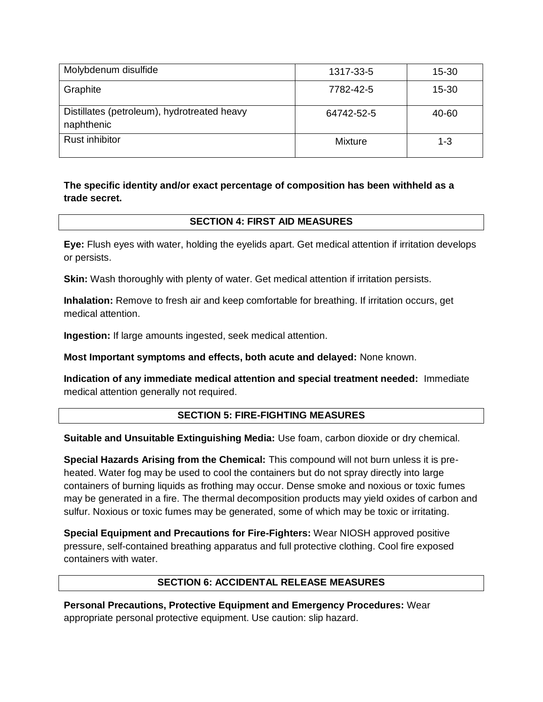| Molybdenum disulfide                                      | 1317-33-5  | $15 - 30$ |
|-----------------------------------------------------------|------------|-----------|
| Graphite                                                  | 7782-42-5  | 15-30     |
| Distillates (petroleum), hydrotreated heavy<br>naphthenic | 64742-52-5 | 40-60     |
| <b>Rust inhibitor</b>                                     | Mixture    | $1 - 3$   |

# **The specific identity and/or exact percentage of composition has been withheld as a trade secret.**

# **SECTION 4: FIRST AID MEASURES**

**Eye:** Flush eyes with water, holding the eyelids apart. Get medical attention if irritation develops or persists.

**Skin:** Wash thoroughly with plenty of water. Get medical attention if irritation persists.

**Inhalation:** Remove to fresh air and keep comfortable for breathing. If irritation occurs, get medical attention.

**Ingestion:** If large amounts ingested, seek medical attention.

**Most Important symptoms and effects, both acute and delayed:** None known.

**Indication of any immediate medical attention and special treatment needed:** Immediate medical attention generally not required.

# **SECTION 5: FIRE-FIGHTING MEASURES**

**Suitable and Unsuitable Extinguishing Media:** Use foam, carbon dioxide or dry chemical.

**Special Hazards Arising from the Chemical:** This compound will not burn unless it is preheated. Water fog may be used to cool the containers but do not spray directly into large containers of burning liquids as frothing may occur. Dense smoke and noxious or toxic fumes may be generated in a fire. The thermal decomposition products may yield oxides of carbon and sulfur. Noxious or toxic fumes may be generated, some of which may be toxic or irritating.

**Special Equipment and Precautions for Fire-Fighters:** Wear NIOSH approved positive pressure, self-contained breathing apparatus and full protective clothing. Cool fire exposed containers with water.

# **SECTION 6: ACCIDENTAL RELEASE MEASURES**

**Personal Precautions, Protective Equipment and Emergency Procedures:** Wear appropriate personal protective equipment. Use caution: slip hazard.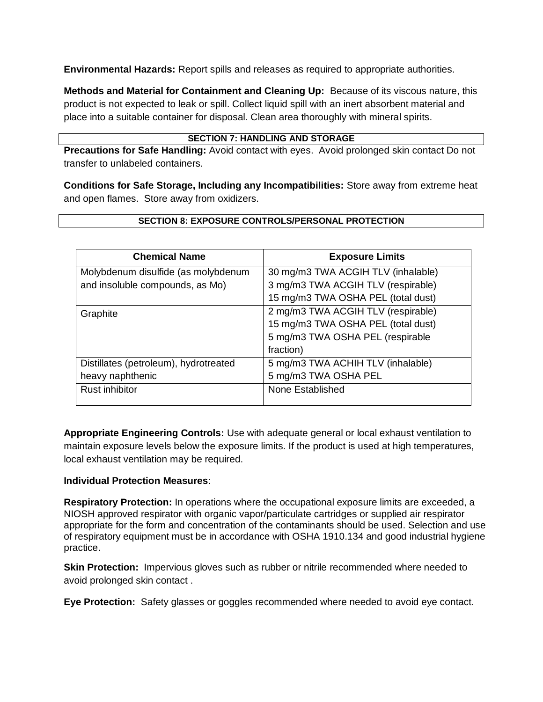**Environmental Hazards:** Report spills and releases as required to appropriate authorities.

**Methods and Material for Containment and Cleaning Up:** Because of its viscous nature, this product is not expected to leak or spill. Collect liquid spill with an inert absorbent material and place into a suitable container for disposal. Clean area thoroughly with mineral spirits.

## **SECTION 7: HANDLING AND STORAGE**

**Precautions for Safe Handling:** Avoid contact with eyes. Avoid prolonged skin contact Do not transfer to unlabeled containers.

**Conditions for Safe Storage, Including any Incompatibilities:** Store away from extreme heat and open flames. Store away from oxidizers.

# **SECTION 8: EXPOSURE CONTROLS/PERSONAL PROTECTION**

| <b>Chemical Name</b>                  | <b>Exposure Limits</b>             |
|---------------------------------------|------------------------------------|
| Molybdenum disulfide (as molybdenum   | 30 mg/m3 TWA ACGIH TLV (inhalable) |
| and insoluble compounds, as Mo)       | 3 mg/m3 TWA ACGIH TLV (respirable) |
|                                       | 15 mg/m3 TWA OSHA PEL (total dust) |
| Graphite                              | 2 mg/m3 TWA ACGIH TLV (respirable) |
|                                       | 15 mg/m3 TWA OSHA PEL (total dust) |
|                                       | 5 mg/m3 TWA OSHA PEL (respirable   |
|                                       | fraction)                          |
| Distillates (petroleum), hydrotreated | 5 mg/m3 TWA ACHIH TLV (inhalable)  |
| heavy naphthenic                      | 5 mg/m3 TWA OSHA PEL               |
| <b>Rust inhibitor</b>                 | None Established                   |
|                                       |                                    |

**Appropriate Engineering Controls:** Use with adequate general or local exhaust ventilation to maintain exposure levels below the exposure limits. If the product is used at high temperatures, local exhaust ventilation may be required.

# **Individual Protection Measures**:

**Respiratory Protection:** In operations where the occupational exposure limits are exceeded, a NIOSH approved respirator with organic vapor/particulate cartridges or supplied air respirator appropriate for the form and concentration of the contaminants should be used. Selection and use of respiratory equipment must be in accordance with OSHA 1910.134 and good industrial hygiene practice.

**Skin Protection:** Impervious gloves such as rubber or nitrile recommended where needed to avoid prolonged skin contact .

**Eye Protection:** Safety glasses or goggles recommended where needed to avoid eye contact.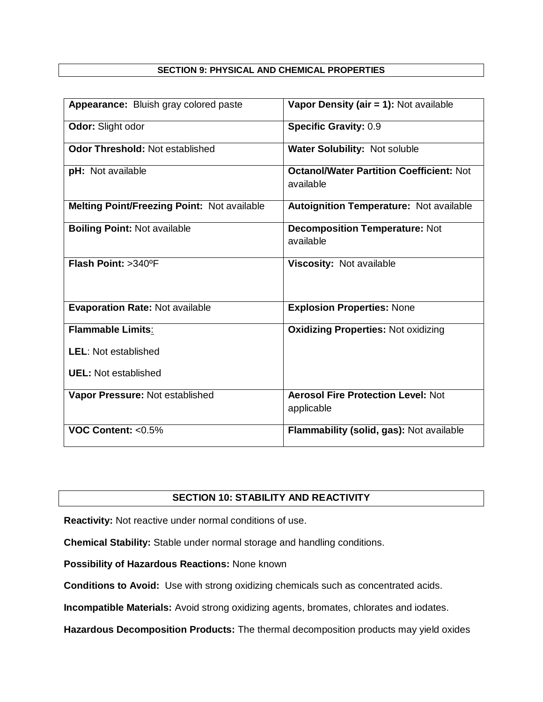## **SECTION 9: PHYSICAL AND CHEMICAL PROPERTIES**

| Appearance: Bluish gray colored paste       | Vapor Density (air = 1): Not available                       |
|---------------------------------------------|--------------------------------------------------------------|
| Odor: Slight odor                           | <b>Specific Gravity: 0.9</b>                                 |
| <b>Odor Threshold: Not established</b>      | Water Solubility: Not soluble                                |
| pH: Not available                           | <b>Octanol/Water Partition Coefficient: Not</b><br>available |
| Melting Point/Freezing Point: Not available | <b>Autoignition Temperature: Not available</b>               |
| <b>Boiling Point: Not available</b>         | <b>Decomposition Temperature: Not</b><br>available           |
| Flash Point: >340°F                         | Viscosity: Not available                                     |
| <b>Evaporation Rate: Not available</b>      | <b>Explosion Properties: None</b>                            |
| Flammable Limits:                           | <b>Oxidizing Properties: Not oxidizing</b>                   |
| <b>LEL: Not established</b>                 |                                                              |
| <b>UEL:</b> Not established                 |                                                              |
| Vapor Pressure: Not established             | <b>Aerosol Fire Protection Level: Not</b><br>applicable      |
| VOC Content: $< 0.5\%$                      | Flammability (solid, gas): Not available                     |

# **SECTION 10: STABILITY AND REACTIVITY**

**Reactivity:** Not reactive under normal conditions of use.

**Chemical Stability:** Stable under normal storage and handling conditions.

**Possibility of Hazardous Reactions:** None known

**Conditions to Avoid:** Use with strong oxidizing chemicals such as concentrated acids.

**Incompatible Materials:** Avoid strong oxidizing agents, bromates, chlorates and iodates.

**Hazardous Decomposition Products:** The thermal decomposition products may yield oxides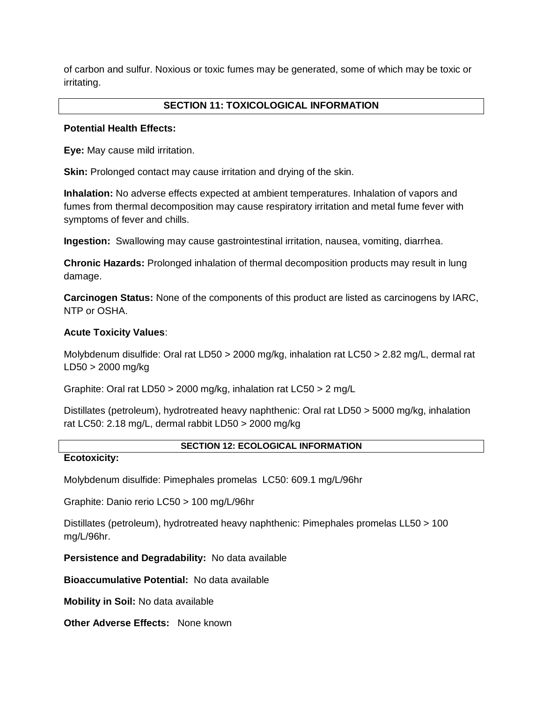of carbon and sulfur. Noxious or toxic fumes may be generated, some of which may be toxic or irritating.

# **SECTION 11: TOXICOLOGICAL INFORMATION**

#### **Potential Health Effects:**

**Eye:** May cause mild irritation.

**Skin:** Prolonged contact may cause irritation and drying of the skin.

**Inhalation:** No adverse effects expected at ambient temperatures. Inhalation of vapors and fumes from thermal decomposition may cause respiratory irritation and metal fume fever with symptoms of fever and chills.

**Ingestion:** Swallowing may cause gastrointestinal irritation, nausea, vomiting, diarrhea.

**Chronic Hazards:** Prolonged inhalation of thermal decomposition products may result in lung damage.

**Carcinogen Status:** None of the components of this product are listed as carcinogens by IARC, NTP or OSHA.

## **Acute Toxicity Values**:

Molybdenum disulfide: Oral rat LD50 > 2000 mg/kg, inhalation rat LC50 > 2.82 mg/L, dermal rat LD50 > 2000 mg/kg

Graphite: Oral rat LD50 > 2000 mg/kg, inhalation rat LC50 > 2 mg/L

Distillates (petroleum), hydrotreated heavy naphthenic: Oral rat LD50 > 5000 mg/kg, inhalation rat LC50: 2.18 mg/L, dermal rabbit LD50 > 2000 mg/kg

#### **SECTION 12: ECOLOGICAL INFORMATION**

## **Ecotoxicity:**

Molybdenum disulfide: Pimephales promelas LC50: 609.1 mg/L/96hr

Graphite: Danio rerio LC50 > 100 mg/L/96hr

Distillates (petroleum), hydrotreated heavy naphthenic: Pimephales promelas LL50 > 100 mg/L/96hr.

**Persistence and Degradability:** No data available

**Bioaccumulative Potential:** No data available

**Mobility in Soil:** No data available

**Other Adverse Effects:** None known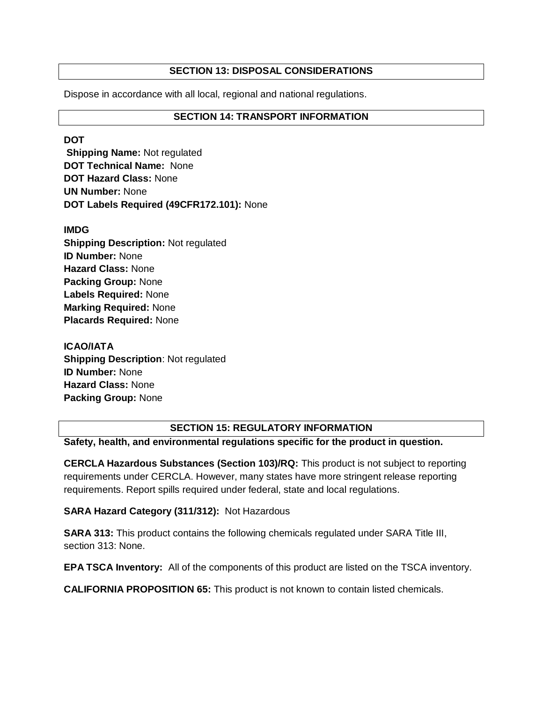# **SECTION 13: DISPOSAL CONSIDERATIONS**

Dispose in accordance with all local, regional and national regulations.

# **SECTION 14: TRANSPORT INFORMATION**

**DOT** 

**Shipping Name:** Not regulated **DOT Technical Name:** None **DOT Hazard Class:** None **UN Number:** None **DOT Labels Required (49CFR172.101):** None

#### **IMDG**

**Shipping Description:** Not regulated **ID Number:** None **Hazard Class:** None **Packing Group:** None **Labels Required:** None **Marking Required:** None **Placards Required:** None

**ICAO/IATA Shipping Description**: Not regulated **ID Number:** None **Hazard Class:** None **Packing Group:** None

#### **SECTION 15: REGULATORY INFORMATION**

**Safety, health, and environmental regulations specific for the product in question.**

**CERCLA Hazardous Substances (Section 103)/RQ:** This product is not subject to reporting requirements under CERCLA. However, many states have more stringent release reporting requirements. Report spills required under federal, state and local regulations.

# **SARA Hazard Category (311/312):** Not Hazardous

**SARA 313:** This product contains the following chemicals regulated under SARA Title III, section 313: None.

**EPA TSCA Inventory:** All of the components of this product are listed on the TSCA inventory.

**CALIFORNIA PROPOSITION 65:** This product is not known to contain listed chemicals.